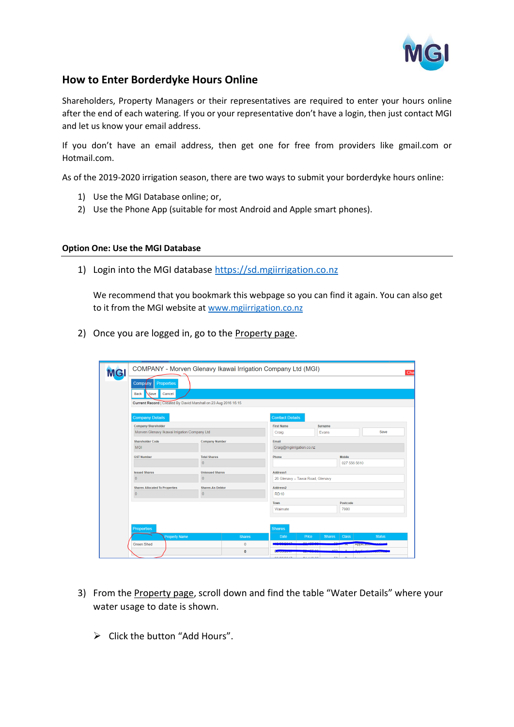

## **How to Enter Borderdyke Hours Online**

Shareholders, Property Managers or their representatives are required to enter your hours online after the end of each watering. If you or your representative don't have a login, then just contact MGI and let us know your email address.

If you don't have an email address, then get one for free from providers like gmail.com or Hotmail.com.

As of the 2019-2020 irrigation season, there are two ways to submit your borderdyke hours online:

- 1) Use the MGI Database online; or,
- 2) Use the Phone App (suitable for most Android and Apple smart phones).

## **Option One: Use the MGI Database**

1) Login into the MGI database [https://sd.mgiirrigation.co.nz](https://sd.mgiirrigation.co.nz/)

We recommend that you bookmark this webpage so you can find it again. You can also get to it from the MGI website at [www.mgiirrigation.co.nz](http://www.mgiirrigation.co.nz/)

2) Once you are logged in, go to the Property page.

| Properties<br><b>Company</b><br>Save<br>Cancel<br><b>Back</b><br>Current Record   Created By David Marshall on 23 Aug 2016 15:15<br><b>Company Details</b><br><b>Contact Details</b><br>Company/Shareholder<br><b>First Name</b><br><b>Surname</b><br>Morven Glenavy Ikawai Irrigation Company Ltd<br>Save<br>Evans<br>Craig<br><b>Shareholder Code</b><br><b>Company Number</b><br>Email<br><b>MGI</b><br>Craig@mgiirrigation.co.nz<br><b>GST Number</b><br><b>Total Shares</b><br><b>Mobile</b><br>Phone<br>$\Omega$<br>027 556 5610<br><b>Issued Shares</b><br><b>Unissued Shares</b><br>Address1<br>$\overline{0}$<br>$\overline{0}$<br>26 Glenavy - Tawai Road, Glenavy<br><b>Shares Allocated To Properties</b><br><b>Shares As Debtor</b><br>Address <sub>2</sub><br>$\Omega$<br>$\overline{0}$<br><b>RD10</b><br>Postcode<br>Town<br>7980<br>Waimate | <b>MG</b> | COMPANY - Morven Glenavy Ikawai Irrigation Company Ltd (MGI) |               |                    |              |               |              |                   |
|--------------------------------------------------------------------------------------------------------------------------------------------------------------------------------------------------------------------------------------------------------------------------------------------------------------------------------------------------------------------------------------------------------------------------------------------------------------------------------------------------------------------------------------------------------------------------------------------------------------------------------------------------------------------------------------------------------------------------------------------------------------------------------------------------------------------------------------------------------------|-----------|--------------------------------------------------------------|---------------|--------------------|--------------|---------------|--------------|-------------------|
|                                                                                                                                                                                                                                                                                                                                                                                                                                                                                                                                                                                                                                                                                                                                                                                                                                                              |           |                                                              |               |                    |              |               |              |                   |
|                                                                                                                                                                                                                                                                                                                                                                                                                                                                                                                                                                                                                                                                                                                                                                                                                                                              |           |                                                              |               |                    |              |               |              |                   |
|                                                                                                                                                                                                                                                                                                                                                                                                                                                                                                                                                                                                                                                                                                                                                                                                                                                              |           |                                                              |               |                    |              |               |              |                   |
|                                                                                                                                                                                                                                                                                                                                                                                                                                                                                                                                                                                                                                                                                                                                                                                                                                                              |           |                                                              |               |                    |              |               |              |                   |
|                                                                                                                                                                                                                                                                                                                                                                                                                                                                                                                                                                                                                                                                                                                                                                                                                                                              |           |                                                              |               |                    |              |               |              |                   |
|                                                                                                                                                                                                                                                                                                                                                                                                                                                                                                                                                                                                                                                                                                                                                                                                                                                              |           |                                                              |               |                    |              |               |              |                   |
|                                                                                                                                                                                                                                                                                                                                                                                                                                                                                                                                                                                                                                                                                                                                                                                                                                                              |           |                                                              |               |                    |              |               |              |                   |
|                                                                                                                                                                                                                                                                                                                                                                                                                                                                                                                                                                                                                                                                                                                                                                                                                                                              |           |                                                              |               |                    |              |               |              |                   |
|                                                                                                                                                                                                                                                                                                                                                                                                                                                                                                                                                                                                                                                                                                                                                                                                                                                              |           |                                                              |               |                    |              |               |              |                   |
|                                                                                                                                                                                                                                                                                                                                                                                                                                                                                                                                                                                                                                                                                                                                                                                                                                                              |           |                                                              |               |                    |              |               |              |                   |
|                                                                                                                                                                                                                                                                                                                                                                                                                                                                                                                                                                                                                                                                                                                                                                                                                                                              |           |                                                              |               |                    |              |               |              |                   |
|                                                                                                                                                                                                                                                                                                                                                                                                                                                                                                                                                                                                                                                                                                                                                                                                                                                              |           |                                                              |               |                    |              |               |              |                   |
|                                                                                                                                                                                                                                                                                                                                                                                                                                                                                                                                                                                                                                                                                                                                                                                                                                                              |           |                                                              |               |                    |              |               |              |                   |
|                                                                                                                                                                                                                                                                                                                                                                                                                                                                                                                                                                                                                                                                                                                                                                                                                                                              |           |                                                              |               |                    |              |               |              |                   |
|                                                                                                                                                                                                                                                                                                                                                                                                                                                                                                                                                                                                                                                                                                                                                                                                                                                              |           |                                                              |               |                    |              |               |              |                   |
|                                                                                                                                                                                                                                                                                                                                                                                                                                                                                                                                                                                                                                                                                                                                                                                                                                                              |           |                                                              |               |                    |              |               |              |                   |
|                                                                                                                                                                                                                                                                                                                                                                                                                                                                                                                                                                                                                                                                                                                                                                                                                                                              |           | <b>Properties</b>                                            |               | <b>Shares</b>      |              |               |              |                   |
|                                                                                                                                                                                                                                                                                                                                                                                                                                                                                                                                                                                                                                                                                                                                                                                                                                                              |           |                                                              | <b>Shares</b> | <b>Date</b>        | <b>Price</b> | <b>Shares</b> | <b>Class</b> | <b>Status</b>     |
| <b>Property Name</b>                                                                                                                                                                                                                                                                                                                                                                                                                                                                                                                                                                                                                                                                                                                                                                                                                                         |           | <b>Green Shed</b>                                            | $\mathbf{0}$  |                    |              |               |              | <b>Applicance</b> |
|                                                                                                                                                                                                                                                                                                                                                                                                                                                                                                                                                                                                                                                                                                                                                                                                                                                              |           |                                                              | $\mathbf{0}$  | <b>UNUOISSUITE</b> |              |               |              |                   |

- 3) From the Property page, scroll down and find the table "Water Details" where your water usage to date is shown.
	- ➢ Click the button "Add Hours".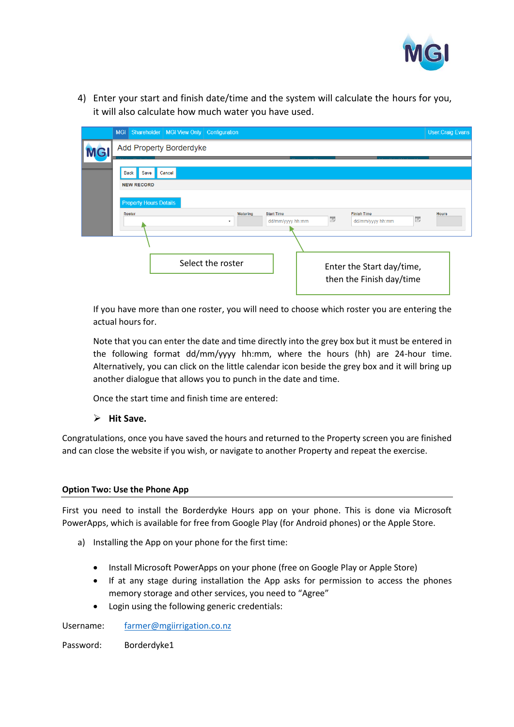

4) Enter your start and finish date/time and the system will calculate the hours for you, it will also calculate how much water you have used.

|   |                                          | MGI Shareholder   MGI View Only   Configuration |                               |                  |                         |                                                       |   | <b>User:Craig Evans</b> |  |
|---|------------------------------------------|-------------------------------------------------|-------------------------------|------------------|-------------------------|-------------------------------------------------------|---|-------------------------|--|
| G |                                          | Add Property Borderdyke                         |                               |                  |                         |                                                       |   |                         |  |
|   | <b>Back</b><br>Save<br><b>NEW RECORD</b> | Cancel                                          |                               |                  |                         |                                                       |   |                         |  |
|   | <b>Property Hours Details</b><br>Roster  |                                                 | <b>Start Time</b><br>Watering |                  |                         | <b>Finish Time</b>                                    |   | <b>Hours</b>            |  |
|   |                                          |                                                 | ۰                             | dd/mm/yyyy hh:mm | $\frac{1}{\sqrt{2\pi}}$ | dd/mm/yyyy hh:mm                                      | 愚 |                         |  |
|   |                                          |                                                 |                               |                  |                         |                                                       |   |                         |  |
|   |                                          | Select the roster                               |                               |                  |                         | Enter the Start day/time,<br>then the Finish day/time |   |                         |  |

If you have more than one roster, you will need to choose which roster you are entering the actual hours for.

Note that you can enter the date and time directly into the grey box but it must be entered in the following format dd/mm/yyyy hh:mm, where the hours (hh) are 24-hour time. Alternatively, you can click on the little calendar icon beside the grey box and it will bring up another dialogue that allows you to punch in the date and time.

Once the start time and finish time are entered:

## ➢ **Hit Save.**

Congratulations, once you have saved the hours and returned to the Property screen you are finished and can close the website if you wish, or navigate to another Property and repeat the exercise.

## **Option Two: Use the Phone App**

First you need to install the Borderdyke Hours app on your phone. This is done via Microsoft PowerApps, which is available for free from Google Play (for Android phones) or the Apple Store.

- a) Installing the App on your phone for the first time:
	- Install Microsoft PowerApps on your phone (free on Google Play or Apple Store)
	- If at any stage during installation the App asks for permission to access the phones memory storage and other services, you need to "Agree"
	- Login using the following generic credentials:

Username: [farmer@mgiirrigation.co.nz](mailto:farmer@mgiirrigation.co.nz)

Password: Borderdyke1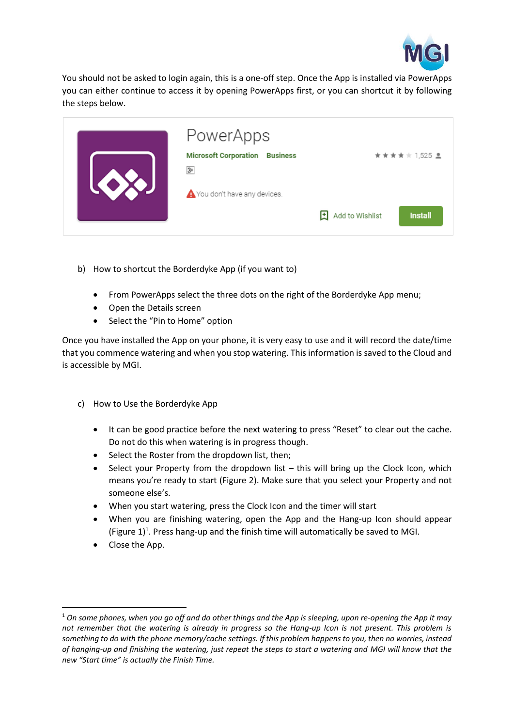

You should not be asked to login again, this is a one-off step. Once the App is installed via PowerApps you can either continue to access it by opening PowerApps first, or you can shortcut it by following the steps below.

| <b>ESS</b> | PowerApps<br><b>Microsoft Corporation</b><br><b>Business</b><br>$3+$<br>You don't have any devices. | ★★★★☆ 1,525 皇                          |
|------------|-----------------------------------------------------------------------------------------------------|----------------------------------------|
|            |                                                                                                     | Add to Wishlist<br>Ħ<br><b>Install</b> |

- b) How to shortcut the Borderdyke App (if you want to)
	- From PowerApps select the three dots on the right of the Borderdyke App menu;
	- Open the Details screen
	- Select the "Pin to Home" option

Once you have installed the App on your phone, it is very easy to use and it will record the date/time that you commence watering and when you stop watering. This information is saved to the Cloud and is accessible by MGI.

- c) How to Use the Borderdyke App
	- It can be good practice before the next watering to press "Reset" to clear out the cache. Do not do this when watering is in progress though.
	- Select the Roster from the dropdown list, then;
	- Select your Property from the dropdown list this will bring up the Clock Icon, which means you're ready to start [\(Figure 2\)](#page-3-0). Make sure that you select your Property and not someone else's.
	- When you start watering, press the Clock Icon and the timer will start
	- When you are finishing watering, open the App and the Hang-up Icon should appear (Figure  $1$ )<sup>1</sup>. Press hang-up and the finish time will automatically be saved to MGI.
	- Close the App.

<sup>1</sup> *On some phones, when you go off and do other things and the App is sleeping, upon re-opening the App it may not remember that the watering is already in progress so the Hang-up Icon is not present. This problem is something to do with the phone memory/cache settings. If this problem happens to you, then no worries, instead of hanging-up and finishing the watering, just repeat the steps to start a watering and MGI will know that the new "Start time" is actually the Finish Time.*